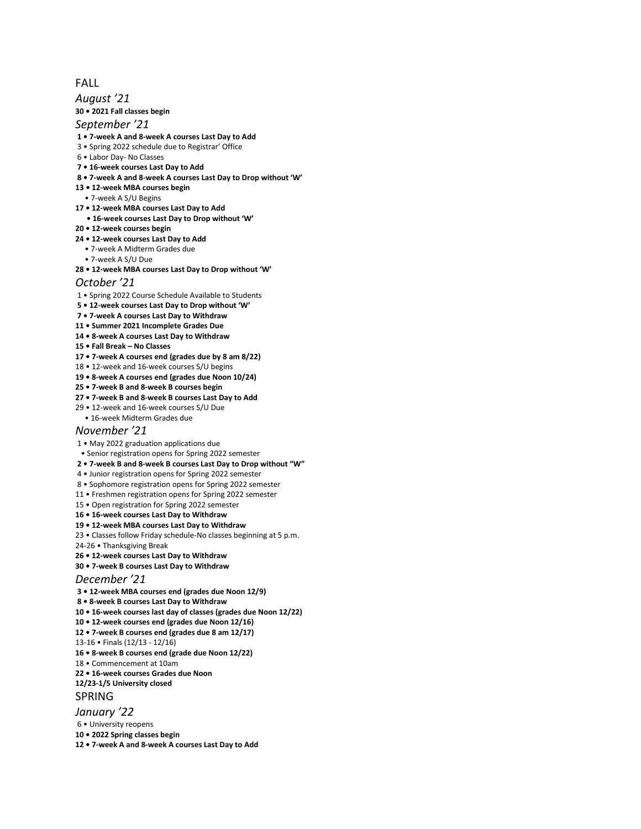## FALL

# *August '21* **30 • 2021 Fall classes begin**

*September '21*

- **1 7-week A and 8-week A courses Last Day to Add**
- 3 Spring 2022 schedule due to Registrar' Office
- 6 Labor Day- No Classes
- **7 16-week courses Last Day to Add**
- **8 7-week A and 8-week A courses Last Day to Drop without 'W'**
- **13 12-week MBA courses begin**
- 7-week A S/U Begins
- **17 12-week MBA courses Last Day to Add**
- **16-week courses Last Day to Drop without 'W'**
- **20 12-week courses begin**
- **24 12-week courses Last Day to Add**
	- 7-week A Midterm Grades due
	- 7-week A S/U Due
- **28 12-week MBA courses Last Day to Drop without 'W'**

### *October '21*

- 1 Spring 2022 Course Schedule Available to Students
- **5 12-week courses Last Day to Drop without 'W'**
- **7 7-week A courses Last Day to Withdraw**
- **11 Summer 2021 Incomplete Grades Due**
- **14 8-week A courses Last Day to Withdraw**
- **15 Fall Break – No Classes**
- **17 7-week A courses end (grades due by 8 am 8/22)**
- 18 12-week and 16-week courses S/U begins
- **19 8-week A courses end (grades due Noon 10/24)**
- **25 7-week B and 8-week B courses begin**
- **27 7-week B and 8-week B courses Last Day to Add**
- 29 12-week and 16-week courses S/U Due
- 16-week Midterm Grades due

### *November '21*

- 1 May 2022 graduation applications due
- Senior registration opens for Spring 2022 semester
- **2 7-week B and 8-week B courses Last Day to Drop without "W"**
- 4 Junior registration opens for Spring 2022 semester
- 8 Sophomore registration opens for Spring 2022 semester
- 11 Freshmen registration opens for Spring 2022 semester
- 15 Open registration for Spring 2022 semester
- **16 16-week courses Last Day to Withdraw**

#### **19 • 12-week MBA courses Last Day to Withdraw**

23 • Classes follow Friday schedule-No classes beginning at 5 p.m.

- 24-26 Thanksgiving Break
- **26 12-week courses Last Day to Withdraw**
- **30 7-week B courses Last Day to Withdraw**

#### *December '21*

- **3 12-week MBA courses end (grades due Noon 12/9)**
- **8 8-week B courses Last Day to Withdraw**
- **10 16-week courses last day of classes (grades due Noon 12/22)**
- **10 12-week courses end (grades due Noon 12/16)**
- **12 7-week B courses end (grades due 8 am 12/17)**
- 13-16 Finals (12/13 12/16)
- **16 8-week B courses end (grade due Noon 12/22)**
- 18 Commencement at 10am
- **22 16-week courses Grades due Noon**
- **12/23-1/5 University closed**

## SPRING

#### *January '22*

6 • University reopens

- **10 2022 Spring classes begin**
- **12 7-week A and 8-week A courses Last Day to Add**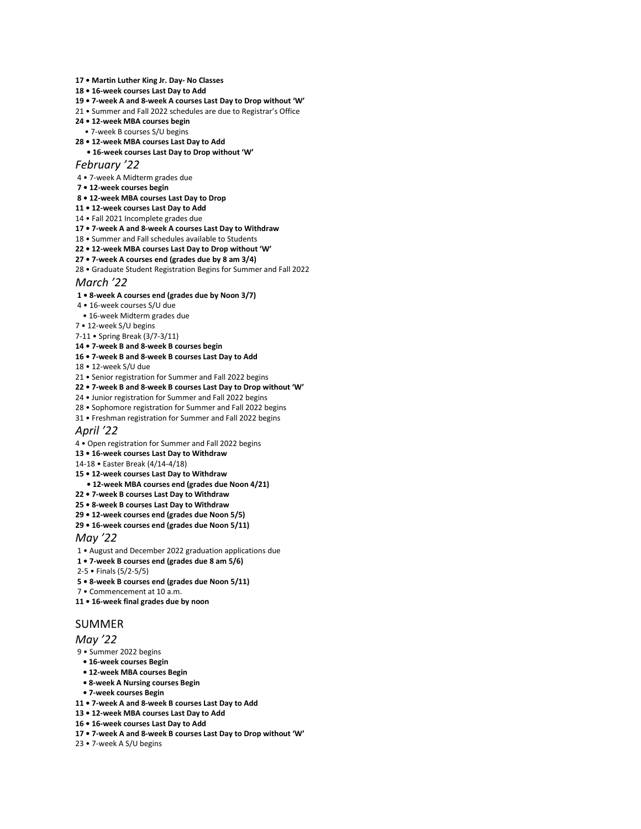- **17 Martin Luther King Jr. Day- No Classes**
- **18 16-week courses Last Day to Add**
- **19 7-week A and 8-week A courses Last Day to Drop without 'W'**
- 21 Summer and Fall 2022 schedules are due to Registrar's Office
- **24 12-week MBA courses begin**
- 7-week B courses S/U begins
- **28 12-week MBA courses Last Day to Add**
- **16-week courses Last Day to Drop without 'W'**

#### *February '22*

- 4 7-week A Midterm grades due
- **7 12-week courses begin**
- **8 12-week MBA courses Last Day to Drop**
- **11 12-week courses Last Day to Add**
- 14 Fall 2021 Incomplete grades due
- **17 7-week A and 8-week A courses Last Day to Withdraw**
- 18 Summer and Fall schedules available to Students
- **22 12-week MBA courses Last Day to Drop without 'W'**
- **27 7-week A courses end (grades due by 8 am 3/4)**
- 28 Graduate Student Registration Begins for Summer and Fall 2022

#### *March '22*

- **1 8-week A courses end (grades due by Noon 3/7)**
- 4 16-week courses S/U due
- 16-week Midterm grades due
- 7 12-week S/U begins
- 7-11 Spring Break (3/7-3/11)
- **14 7-week B and 8-week B courses begin**
- **16 7-week B and 8-week B courses Last Day to Add**
- 18 12-week S/U due
- 21 Senior registration for Summer and Fall 2022 begins
- **22 7-week B and 8-week B courses Last Day to Drop without 'W'**
- 24 Junior registration for Summer and Fall 2022 begins
- 28 Sophomore registration for Summer and Fall 2022 begins
- 31 Freshman registration for Summer and Fall 2022 begins

#### *April '22*

- 4 Open registration for Summer and Fall 2022 begins
- **13 16-week courses Last Day to Withdraw**
- 14-18 Easter Break (4/14-4/18)
- **15 12-week courses Last Day to Withdraw**
- **12-week MBA courses end (grades due Noon 4/21)**
- **22 • 7-week B courses Last Day to Withdraw**
- **25 8-week B courses Last Day to Withdraw**
- **29 12-week courses end (grades due Noon 5/5)**
- **29 16-week courses end (grades due Noon 5/11)**

#### *May '22*

- 1 August and December 2022 graduation applications due
- **1 7-week B courses end (grades due 8 am 5/6)**
- 2-5 Finals (5/2-5/5)
- **5 8-week B courses end (grades due Noon 5/11)**
- 7 Commencement at 10 a.m.
- **11 16-week final grades due by noon**

#### SUMMER

#### *May '22*

- 9 Summer 2022 begins
- **16-week courses Begin**
- **12-week MBA courses Begin**
- **8-week A Nursing courses Begin**
- **7-week courses Begin**
- **11 7-week A and 8-week B courses Last Day to Add**
- **13 12-week MBA courses Last Day to Add**
- **16 16-week courses Last Day to Add**
- **17 7-week A and 8-week B courses Last Day to Drop without 'W'**
- 23 7-week A S/U begins